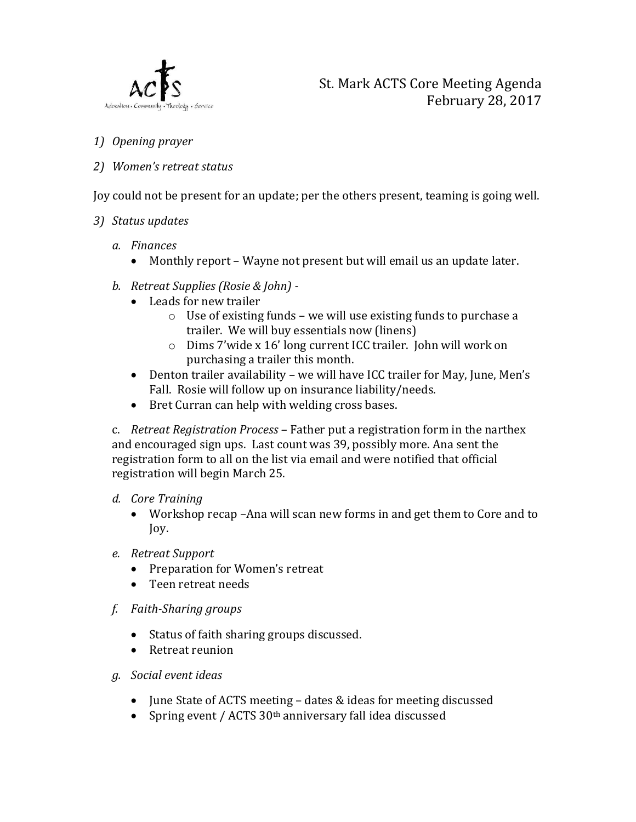

- 1) Opening prayer
- 2) Women's retreat status

Joy could not be present for an update; per the others present, teaming is going well.

- 3) Status updates
	- a. Finances
		- Monthly report Wayne not present but will email us an update later.
	- b. Retreat Supplies (Rosie & John)
		- Leads for new trailer
			- o Use of existing funds we will use existing funds to purchase a trailer. We will buy essentials now (linens)
			- o Dims 7'wide x 16' long current ICC trailer. John will work on purchasing a trailer this month.
		- Denton trailer availability we will have ICC trailer for May, June, Men's Fall. Rosie will follow up on insurance liability/needs.
		- Bret Curran can help with welding cross bases.

c. Retreat Registration Process – Father put a registration form in the narthex and encouraged sign ups. Last count was 39, possibly more. Ana sent the registration form to all on the list via email and were notified that official registration will begin March 25.

## d. Core Training

- Workshop recap –Ana will scan new forms in and get them to Core and to Joy.
- e. Retreat Support
	- Preparation for Women's retreat
	- Teen retreat needs
- f. Faith-Sharing groups
	- Status of faith sharing groups discussed.
	- Retreat reunion
- g. Social event ideas
	- June State of ACTS meeting dates & ideas for meeting discussed
	- Spring event / ACTS 30<sup>th</sup> anniversary fall idea discussed